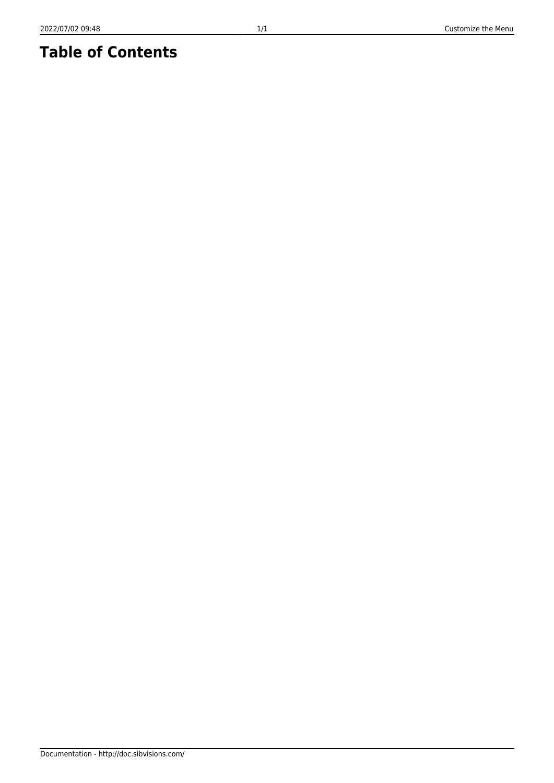## **Table of Contents**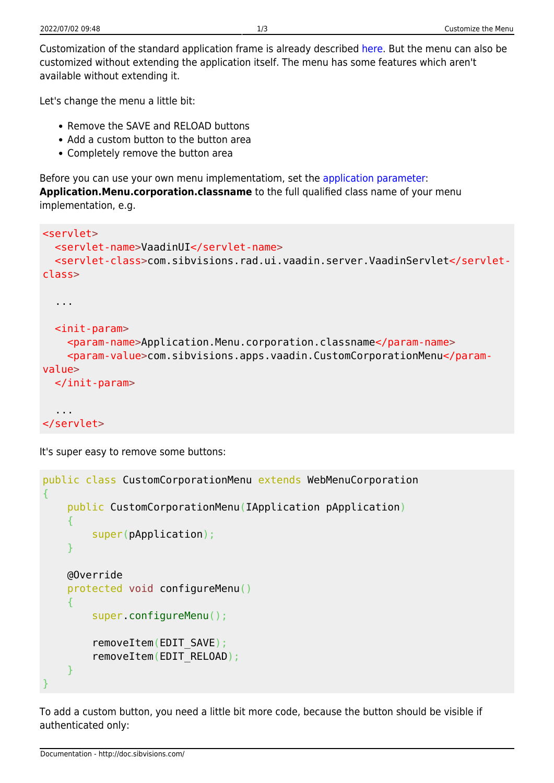Customization of the standard application frame is already described [here.](http://doc.sibvisions.com/vaadin/customize_application) But the menu can also be customized without extending the application itself. The menu has some features which aren't available without extending it.

Let's change the menu a little bit:

- Remove the SAVE and RELOAD buttons
- Add a custom button to the button area
- Completely remove the button area

Before you can use your own menu implementatiom, set the [application parameter](http://doc.sibvisions.com/jvx/client/gui/application_parameters): **Application.Menu.corporation.classname** to the full qualified class name of your menu implementation, e.g.

```
<servlet>
   <servlet-name>VaadinUI</servlet-name>
   <servlet-class>com.sibvisions.rad.ui.vaadin.server.VaadinServlet</servlet-
class>
   ...
  \leqinit-param> <param-name>Application.Menu.corporation.classname</param-name>
     <param-value>com.sibvisions.apps.vaadin.CustomCorporationMenu</param-
value>
   </init-param>
   ...
</servlet>
```
It's super easy to remove some buttons:

```
public class CustomCorporationMenu extends WebMenuCorporation
{
     public CustomCorporationMenu(IApplication pApplication)
     {
         super(pApplication);
 }
     @Override
     protected void configureMenu()
    \mathbf{f} super.configureMenu();
         removeItem(EDIT_SAVE);
        removeItem(EDIT_RELOAD);
     }
}
```
To add a custom button, you need a little bit more code, because the button should be visible if authenticated only: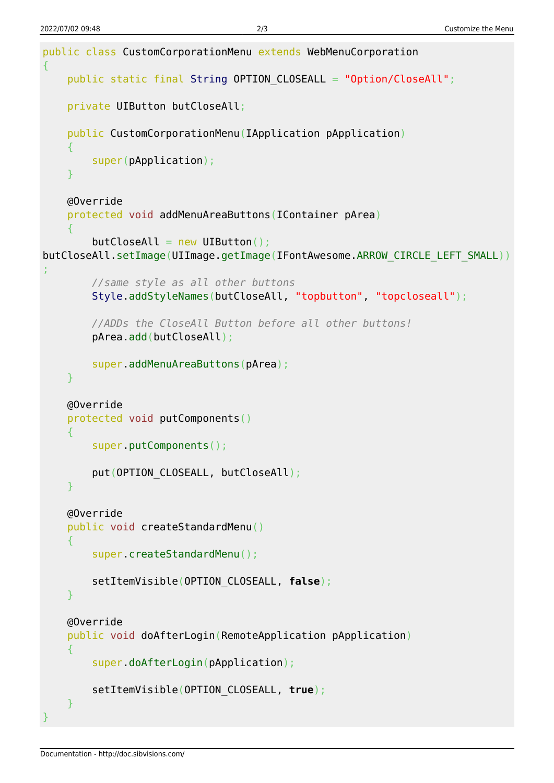```
public class CustomCorporationMenu extends WebMenuCorporation
{
    String OPTION CLOSEALL = "Option/CloseAll";
     private UIButton butCloseAll;
     public CustomCorporationMenu(IApplication pApplication)
     {
         super(pApplication);
     }
     @Override
     protected void addMenuAreaButtons(IContainer pArea)
\overline{\phantom{a}}butClosed1 = new UIButton()butCloseAll.setImage(UIImage.getImage(IFontAwesome.ARROW CIRCLE LEFT SMALL))
;
         //same style as all other buttons
         Style.addStyleNames(butCloseAll, "topbutton", "topcloseall");
         //ADDs the CloseAll Button before all other buttons!
         pArea.add(butCloseAll);
         super.addMenuAreaButtons(pArea);
     }
     @Override
     protected void putComponents()
     {
         super.putComponents();
        put(OPTION CLOSEALL, butCloseAll);
     }
     @Override
     public void createStandardMenu()
    \{ super.createStandardMenu();
         setItemVisible(OPTION_CLOSEALL, false);
     }
     @Override
     public void doAfterLogin(RemoteApplication pApplication)
     {
         super.doAfterLogin(pApplication);
         setItemVisible(OPTION_CLOSEALL, true);
     }
}
```